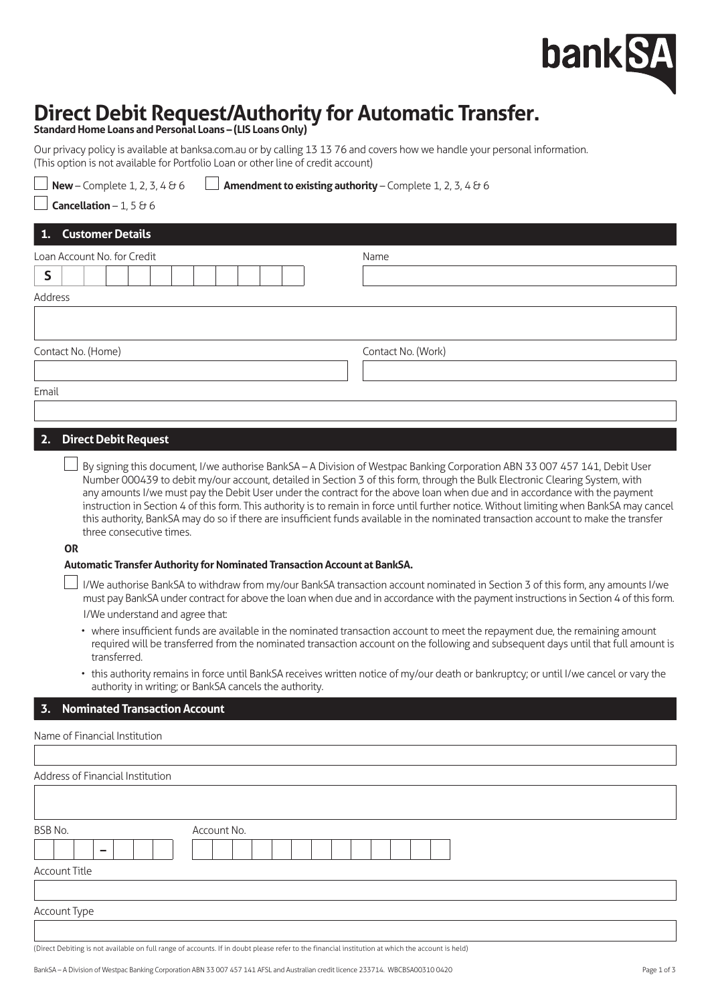# bank S.

# **Direct Debit Request/Authority for Automatic Transfer.**

**Standard Home Loans and Personal Loans – (LIS Loans Only)**

Our privacy policy is available at [banksa.com.au](http://banksa.com.au) or by calling 13 13 76 and covers how we handle your personal information. (This option is not available for Portfolio Loan or other line of credit account)

**New** – Complete 1, 2, 3, 4  $\theta$  6  $\Box$  **Amendment to existing authority** – Complete 1, 2, 3, 4  $\theta$  6 **Cancellation** – 1, 5  $\theta$  6 **1. Customer Details Loan Account No. for Credit Name Name Name Control Name Name S** Address Contact No. (Home) Contact No. (Work) Email **2. Direct Debit Request**

By signing this document, I/we authorise BankSA – A Division of Westpac Banking Corporation ABN 33 007 457 141, Debit User Number 000439 to debit my/our account, detailed in Section 3 of this form, through the Bulk Electronic Clearing System, with any amounts I/we must pay the Debit User under the contract for the above loan when due and in accordance with the payment instruction in Section 4 of this form. This authority is to remain in force until further notice. Without limiting when BankSA may cancel this authority, BankSA may do so if there are insufficient funds available in the nominated transaction account to make the transfer three consecutive times.

**OR**

#### **Automatic Transfer Authority for Nominated Transaction Account at BankSA.**

- $\perp$  I/We authorise BankSA to withdraw from my/our BankSA transaction account nominated in Section 3 of this form, any amounts I/we must pay BankSA under contract for above the loan when due and in accordance with the payment instructions in Section 4 of this form. I/We understand and agree that:
	- where insufficient funds are available in the nominated transaction account to meet the repayment due, the remaining amount required will be transferred from the nominated transaction account on the following and subsequent days until that full amount is transferred.
	- this authority remains in force until BankSA receives written notice of my/our death or bankruptcy; or until I/we cancel or vary the authority in writing; or BankSA cancels the authority.

# **3. Nominated Transaction Account**

| Name of Financial Institution                                                                                                                    |  |
|--------------------------------------------------------------------------------------------------------------------------------------------------|--|
|                                                                                                                                                  |  |
| Address of Financial Institution                                                                                                                 |  |
|                                                                                                                                                  |  |
|                                                                                                                                                  |  |
| BSB No.<br>Account No.                                                                                                                           |  |
| -                                                                                                                                                |  |
| <b>Account Title</b>                                                                                                                             |  |
|                                                                                                                                                  |  |
| Account Type                                                                                                                                     |  |
|                                                                                                                                                  |  |
| (Direct Debiting is not available on full range of accounts. If in doubt please refer to the financial institution at which the account is held) |  |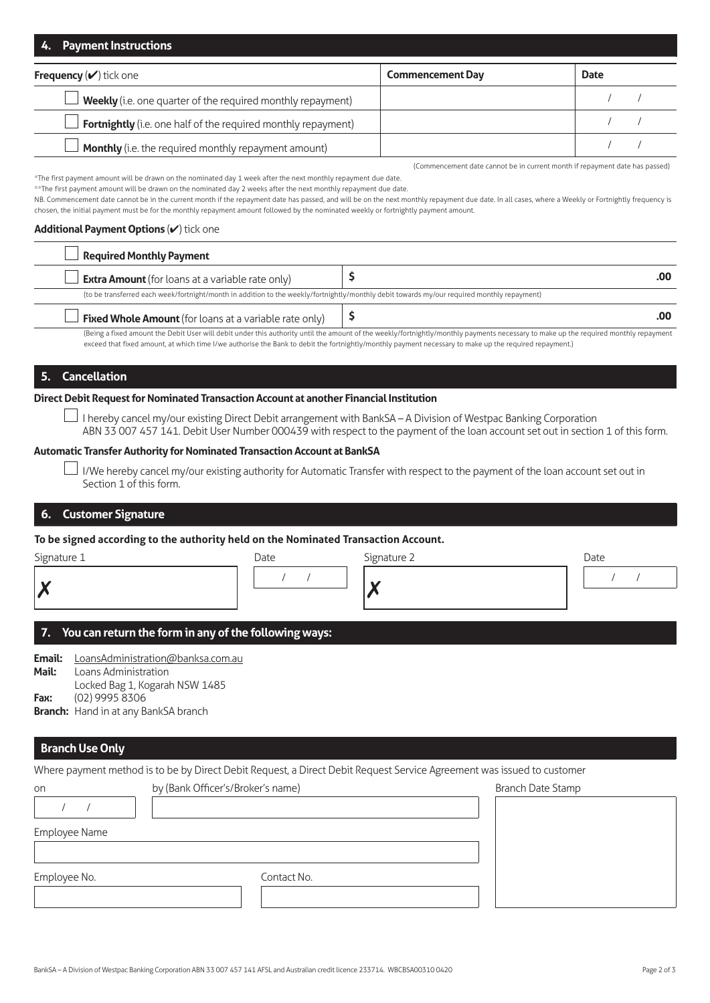| 4. Payment Instructions                                       |                         |             |  |
|---------------------------------------------------------------|-------------------------|-------------|--|
| <b>Frequency</b> $(\vee)$ tick one                            | <b>Commencement Day</b> | <b>Date</b> |  |
| Weekly (i.e. one quarter of the required monthly repayment)   |                         |             |  |
| Fortnightly (i.e. one half of the required monthly repayment) |                         |             |  |
| Monthly (i.e. the required monthly repayment amount)          |                         |             |  |

(Commencement date cannot be in current month if repayment date has passed)

\*The first payment amount will be drawn on the nominated day 1 week after the next monthly repayment due date.

\*\*The first payment amount will be drawn on the nominated day 2 weeks after the next monthly repayment due date

NB. Commencement date cannot be in the current month if the repayment date has passed, and will be on the next monthly repayment due date. In all cases, where a Weekly or Fortnightly frequency is chosen, the initial payment must be for the monthly repayment amount followed by the nominated weekly or fortnightly payment amount.

#### **Additional Payment Options** (✔) tick one

| Required Monthly Payment                                                                                                                    |                                                                                                                                                                                      |
|---------------------------------------------------------------------------------------------------------------------------------------------|--------------------------------------------------------------------------------------------------------------------------------------------------------------------------------------|
| Extra Amount (for loans at a variable rate only)                                                                                            |                                                                                                                                                                                      |
| (to be transferred each week/fortnight/month in addition to the weekly/fortnightly/monthly debit towards my/our required monthly repayment) |                                                                                                                                                                                      |
| <b>Fixed Whole Amount</b> (for loans at a variable rate only) $\begin{vmatrix} 5 \end{vmatrix}$                                             |                                                                                                                                                                                      |
|                                                                                                                                             | (Reing a fived amount the Debit Heer will debit under this authority until the amount of the weekly/fortnightly/monthly nayments necessary to make un the required monthly renayment |

(Being a fixed amount the Debit User will debit under this authority until the amount of the weekly/fortnightly/monthly payments necessary to make up the required monthly repayment exceed that fixed amount, at which time I/we authorise the Bank to debit the fortnightly/monthly payment necessary to make up the required repayment.)

# **5. Cancellation**

#### **Direct Debit Request for Nominated Transaction Account at another Financial Institution**

 $\perp$  I hereby cancel my/our existing Direct Debit arrangement with BankSA – A Division of Westpac Banking Corporation ABN 33 007 457 141. Debit User Number 000439 with respect to the payment of the loan account set out in section 1 of this form.

#### **Automatic Transfer Authority for Nominated Transaction Account at BankSA**

 $\Box$  I/We hereby cancel my/our existing authority for Automatic Transfer with respect to the payment of the loan account set out in Section 1 of this form.

# **6. Customer Signature**

#### **To be signed according to the authority held on the Nominated Transaction Account.**

| Signature 1    | Date | Signature 2 | Date |
|----------------|------|-------------|------|
| $\overline{C}$ |      |             |      |
|                |      |             |      |

# **7. You can return the form in any of the following ways:**

**Email:** [LoansAdministration@banksa.com.au](mailto:Email:%0DLoansAdministration%40banksa.com.au%0DMail:%0DLoan%20Administration%0DLocked%20Bag%201%2C%20Kogarah%20NSW%201485%0DFax:%20%0D%2802%29%209995%208306%0DBranch:%0DHand%20in%20at%20any%20BankSA%20branch?subject=) **Mail:** Loans Administration Locked Bag 1, Kogarah NSW 1485 **Fax:** (02) 9995 8306 **Branch:** Hand in at any BankSA branch

# **Branch Use Only**

Where payment method is to be by Direct Debit Request, a Direct Debit Request Service Agreement was issued to customer

| on            | by (Bank Officer's/Broker's name) | Branch Date Stamp |
|---------------|-----------------------------------|-------------------|
|               |                                   |                   |
| Employee Name |                                   |                   |
| Employee No.  | Contact No.                       |                   |